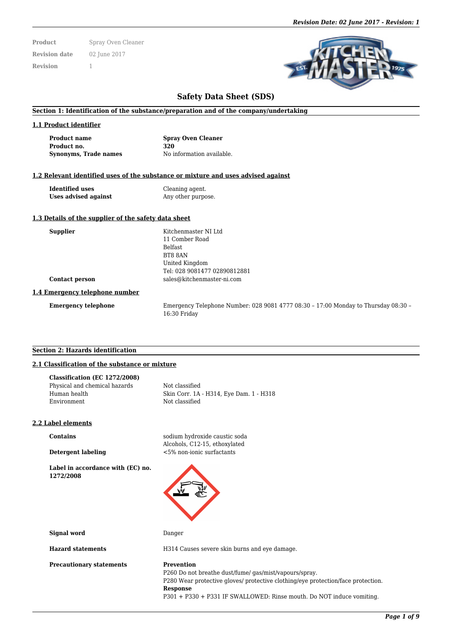**Product** Spray Oven Cleaner **Revision date** 02 June 2017 **Revision** 1

# **Safety Data Sheet (SDS)**

### **Section 1: Identification of the substance/preparation and of the company/undertaking**

#### **1.1 Product identifier**

**Product name Spray Oven Cleaner Product no. 320 Synonyms, Trade names** No information available.

#### **1.2 Relevant identified uses of the substance or mixture and uses advised against**

**Identified uses** Cleaning agent. **Uses advised against** Any other purpose.

#### **1.3 Details of the supplier of the safety data sheet**

| <b>Supplier</b>                | Kitchenmaster NI Ltd         |  |  |  |
|--------------------------------|------------------------------|--|--|--|
|                                | 11 Comber Road               |  |  |  |
|                                | <b>Belfast</b>               |  |  |  |
|                                | BT8 8AN                      |  |  |  |
|                                | United Kingdom               |  |  |  |
|                                | Tel: 028 9081477 02890812881 |  |  |  |
| <b>Contact person</b>          | sales@kitchenmaster-ni.com   |  |  |  |
| 1.4 Emergency telephone number |                              |  |  |  |

**Emergency telephone** Emergency Telephone Number: 028 9081 4777 08:30 – 17:00 Monday to Thursday 08:30 – 16:30 Friday

#### **Section 2: Hazards identification**

# **2.1 Classification of the substance or mixture**

| Classification (EC 1272/2008) |                                         |
|-------------------------------|-----------------------------------------|
| Physical and chemical hazards | Not classified                          |
| Human health                  | Skin Corr. 1A - H314, Eye Dam. 1 - H318 |
| Environment                   | Not classified                          |
|                               |                                         |

#### **2.2 Label elements**

**Label in accordance with (EC) no. 1272/2008**

**Contains** sodium hydroxide caustic soda Alcohols, C12-15, ethoxylated **Detergent labeling** <5% non-ionic surfactants



**Signal word** Danger

**Precautionary statements Prevention** 

**Hazard statements** H314 Causes severe skin burns and eye damage.

P260 Do not breathe dust/fume/ gas/mist/vapours/spray. P280 Wear protective gloves/ protective clothing/eye protection/face protection. **Response** P301 + P330 + P331 IF SWALLOWED: Rinse mouth. Do NOT induce vomiting.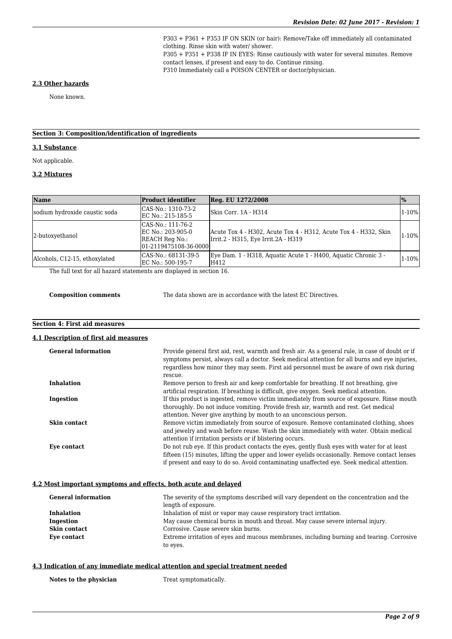P303 + P361 + P353 IF ON SKIN (or hair): Remove/Take off immediately all contaminated clothing. Rinse skin with water/ shower. P305 + P351 + P338 IF IN EYES: Rinse cautiously with water for several minutes. Remove contact lenses, if present and easy to do. Continue rinsing. P310 Immediately call a POISON CENTER or doctor/physician.

#### **2.3 Other hazards**

None known.

# **Section 3: Composition/identification of ingredients**

### **3.1 Substance**

Not applicable.

# **3.2 Mixtures**

| Name                          | <b>Product identifier</b>                                                         | Reg. EU 1272/2008                                                                                       | $\%$      |
|-------------------------------|-----------------------------------------------------------------------------------|---------------------------------------------------------------------------------------------------------|-----------|
| sodium hydroxide caustic soda | CAS-No.: 1310-73-2<br>EC No.: 215-185-5                                           | Skin Corr. 1A - H314                                                                                    | $1 - 10%$ |
| 2-butoxyethanol               | CAS-No.: 111-76-2<br>EC No.: 203-905-0<br>REACH Reg No.:<br>01-2119475108-36-0000 | Acute Tox 4 - H302, Acute Tox 4 - H312, Acute Tox 4 - H332, Skin<br>Irrit.2 - H315, Eye Irrit.2A - H319 | $1-10%$   |
| Alcohols, C12-15, ethoxylated | CAS-No.: 68131-39-5<br>EC No.: 500-195-7                                          | Eve Dam. 1 - H318, Aquatic Acute 1 - H400, Aquatic Chronic 3 -<br>H412                                  | $1-10%$   |

The full text for all hazard statements are displayed in section 16.

**Composition comments** The data shown are in accordance with the latest EC Directives.

## **Section 4: First aid measures**

#### **4.1 Description of first aid measures**

| <b>General information</b> | Provide general first aid, rest, warmth and fresh air. As a general rule, in case of doubt or if<br>symptoms persist, always call a doctor. Seek medical attention for all burns and eye injuries,<br>regardless how minor they may seem. First aid personnel must be aware of own risk during<br>rescue. |
|----------------------------|-----------------------------------------------------------------------------------------------------------------------------------------------------------------------------------------------------------------------------------------------------------------------------------------------------------|
| <b>Inhalation</b>          | Remove person to fresh air and keep comfortable for breathing. If not breathing, give<br>artificial respiration. If breathing is difficult, give oxygen. Seek medical attention.                                                                                                                          |
| Ingestion                  | If this product is ingested, remove victim immediately from source of exposure. Rinse mouth<br>thoroughly. Do not induce vomiting. Provide fresh air, warmth and rest. Get medical<br>attention. Never give anything by mouth to an unconscious person.                                                   |
| Skin contact               | Remove victim immediately from source of exposure. Remove contaminated clothing, shoes<br>and jewelry and wash before reuse. Wash the skin immediately with water. Obtain medical<br>attention if irritation persists or if blistering occurs.                                                            |
| Eye contact                | Do not rub eye. If this product contacts the eyes, gently flush eyes with water for at least<br>fifteen (15) minutes, lifting the upper and lower evelids occasionally. Remove contact lenses<br>if present and easy to do so. Avoid contaminating unaffected eye. Seek medical attention.                |

#### **4.2 Most important symptoms and effects, both acute and delayed**

| <b>General information</b> | The severity of the symptoms described will vary dependent on the concentration and the   |  |  |
|----------------------------|-------------------------------------------------------------------------------------------|--|--|
|                            | length of exposure.                                                                       |  |  |
| <b>Inhalation</b>          | Inhalation of mist or vapor may cause respiratory tract irritation.                       |  |  |
| Ingestion                  | May cause chemical burns in mouth and throat. May cause severe internal injury.           |  |  |
| Skin contact               | Corrosive. Cause severe skin burns.                                                       |  |  |
| Eye contact                | Extreme irritation of eyes and mucous membranes, including burning and tearing. Corrosive |  |  |
|                            | to eyes.                                                                                  |  |  |

#### **4.3 Indication of any immediate medical attention and special treatment needed**

**Notes to the physician** Treat symptomatically.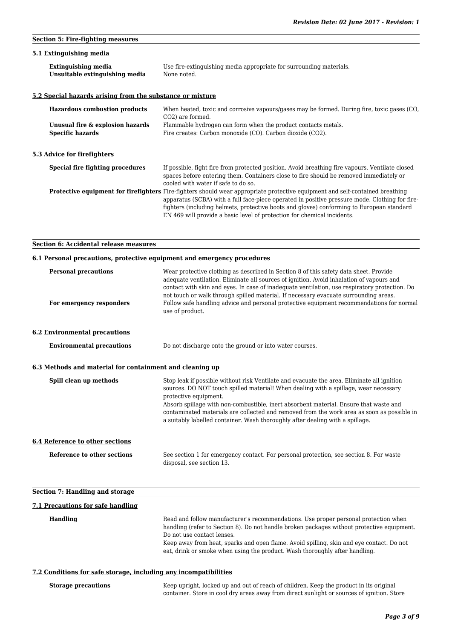# **Section 5: Fire-fighting measures**

# **5.1 Extinguishing media**

| <b>Extinguishing media</b>     | Use fire-extinguishing media appropriate for surrounding materials. |
|--------------------------------|---------------------------------------------------------------------|
| Unsuitable extinguishing media | None noted.                                                         |

# **5.2 Special hazards arising from the substance or mixture**

| <b>Hazardous combustion products</b>                        | When heated, toxic and corrosive vapours/gases may be formed. During fire, toxic gases (CO,<br>CO <sub>2</sub> ) are formed.                                                                                                                                                                                                                                                                                   |
|-------------------------------------------------------------|----------------------------------------------------------------------------------------------------------------------------------------------------------------------------------------------------------------------------------------------------------------------------------------------------------------------------------------------------------------------------------------------------------------|
| Unusual fire & explosion hazards<br><b>Specific hazards</b> | Flammable hydrogen can form when the product contacts metals.<br>Fire creates: Carbon monoxide (CO). Carbon dioxide (CO2).                                                                                                                                                                                                                                                                                     |
| 5.3 Advice for firefighters                                 |                                                                                                                                                                                                                                                                                                                                                                                                                |
| Special fire fighting procedures                            | If possible, fight fire from protected position. Avoid breathing fire vapours. Ventilate closed<br>spaces before entering them. Containers close to fire should be removed immediately or<br>cooled with water if safe to do so.                                                                                                                                                                               |
|                                                             | <b>Protective equipment for firefighters</b> Fire-fighters should wear appropriate protective equipment and self-contained breathing<br>apparatus (SCBA) with a full face-piece operated in positive pressure mode. Clothing for fire-<br>fighters (including helmets, protective boots and gloves) conforming to European standard<br>EN 469 will provide a basic level of protection for chemical incidents. |

# **Section 6: Accidental release measures**

# **6.1 Personal precautions, protective equipment and emergency procedures**

| <b>Personal precautions</b><br>For emergency responders  | Wear protective clothing as described in Section 8 of this safety data sheet. Provide<br>adequate ventilation. Eliminate all sources of ignition. Avoid inhalation of vapours and<br>contact with skin and eyes. In case of inadequate ventilation, use respiratory protection. Do<br>not touch or walk through spilled material. If necessary evacuate surrounding areas.<br>Follow safe handling advice and personal protective equipment recommendations for normal<br>use of product. |  |  |
|----------------------------------------------------------|-------------------------------------------------------------------------------------------------------------------------------------------------------------------------------------------------------------------------------------------------------------------------------------------------------------------------------------------------------------------------------------------------------------------------------------------------------------------------------------------|--|--|
| <b>6.2 Environmental precautions</b>                     |                                                                                                                                                                                                                                                                                                                                                                                                                                                                                           |  |  |
| <b>Environmental precautions</b>                         | Do not discharge onto the ground or into water courses.                                                                                                                                                                                                                                                                                                                                                                                                                                   |  |  |
| 6.3 Methods and material for containment and cleaning up |                                                                                                                                                                                                                                                                                                                                                                                                                                                                                           |  |  |
| Spill clean up methods                                   | Stop leak if possible without risk Ventilate and evacuate the area. Eliminate all ignition<br>sources. DO NOT touch spilled material! When dealing with a spillage, wear necessary<br>protective equipment.<br>Absorb spillage with non-combustible, inert absorbent material. Ensure that waste and<br>contaminated materials are collected and removed from the work area as soon as possible in<br>a suitably labelled container. Wash thoroughly after dealing with a spillage.       |  |  |
| <b>6.4 Reference to other sections</b>                   |                                                                                                                                                                                                                                                                                                                                                                                                                                                                                           |  |  |
| Reference to other sections                              | See section 1 for emergency contact. For personal protection, see section 8. For waste<br>disposal, see section 13.                                                                                                                                                                                                                                                                                                                                                                       |  |  |
| <b>Section 7: Handling and storage</b>                   |                                                                                                                                                                                                                                                                                                                                                                                                                                                                                           |  |  |
| 7.1 Precautions for safe handling                        |                                                                                                                                                                                                                                                                                                                                                                                                                                                                                           |  |  |
| <b>Handling</b>                                          | Read and follow manufacturer's recommendations. Use proper personal protection when<br>handling (refer to Section 8). Do not handle broken packages without protective equipment.<br>Do not use contact lenses.                                                                                                                                                                                                                                                                           |  |  |

Keep away from heat, sparks and open flame. Avoid spilling, skin and eye contact. Do not eat, drink or smoke when using the product. Wash thoroughly after handling.

# **7.2 Conditions for safe storage, including any incompatibilities**

| <b>Storage precautions</b> | Keep upright, locked up and out of reach of children. Keep the product in its original     |  |  |  |
|----------------------------|--------------------------------------------------------------------------------------------|--|--|--|
|                            | container. Store in cool dry areas away from direct sunlight or sources of ignition. Store |  |  |  |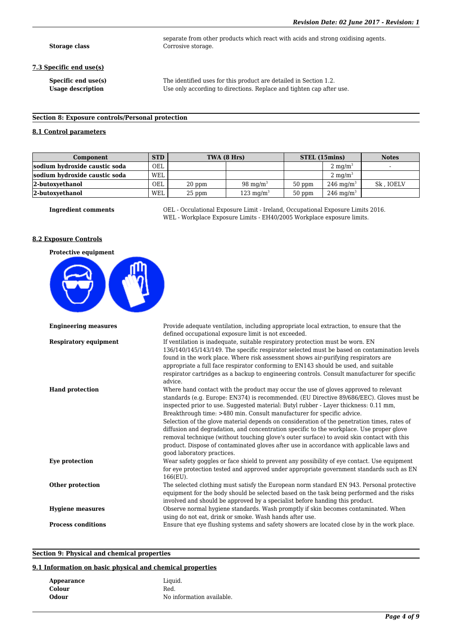**Storage class** Corrosive storage.

#### **7.3 Specific end use(s)**

**Specific end use(s)** The identified uses for this product are detailed in Section 1.2. Usage description Use only according to directions. Replace and tighten cap after use.

separate from other products which react with acids and strong oxidising agents.

# **Section 8: Exposure controls/Personal protection**

# **8.1 Control parameters**

| Component                     | <b>STD</b> | TWA (8 Hrs) |                      |          | STEL (15mins)        | <b>Notes</b> |
|-------------------------------|------------|-------------|----------------------|----------|----------------------|--------------|
| sodium hydroxide caustic soda | OEL        |             |                      |          | $2 \text{ mg/m}^3$   |              |
| sodium hydroxide caustic soda | WEL        |             |                      |          | $2 \text{ mg/m}^3$   |              |
| 2-butoxyethanol               | <b>OEL</b> | 20 ppm      | 98 mg/m <sup>3</sup> | $50$ ppm | $246 \text{ mg/m}^3$ | Sk, IOELV    |
| 2-butoxvethanol               | WEL        | $25$ ppm    | $123 \text{ mg/m}^3$ | $50$ ppm | $246 \text{ mg/m}^3$ |              |

**Ingredient comments** OEL - Occulational Exposure Limit - Ireland, Occupational Exposure Limits 2016. WEL - Workplace Exposure Limits - EH40/2005 Workplace exposure limits.

# **8.2 Exposure Controls**



| <b>Engineering measures</b>  | Provide adequate ventilation, including appropriate local extraction, to ensure that the     |
|------------------------------|----------------------------------------------------------------------------------------------|
|                              | defined occupational exposure limit is not exceeded.                                         |
| <b>Respiratory equipment</b> | If ventilation is inadequate, suitable respiratory protection must be worn. EN               |
|                              | 136/140/145/143/149. The specific respirator selected must be based on contamination levels  |
|                              | found in the work place. Where risk assessment shows air-purifying respirators are           |
|                              | appropriate a full face respirator conforming to EN143 should be used, and suitable          |
|                              | respirator cartridges as a backup to engineering controls. Consult manufacturer for specific |
|                              | advice.                                                                                      |
| <b>Hand protection</b>       | Where hand contact with the product may occur the use of gloves approved to relevant         |
|                              | standards (e.g. Europe: EN374) is recommended. (EU Directive 89/686/EEC). Gloves must be     |
|                              | inspected prior to use. Suggested material: Butyl rubber - Layer thickness: 0.11 mm,         |
|                              | Breakthrough time: >480 min. Consult manufacturer for specific advice.                       |
|                              | Selection of the glove material depends on consideration of the penetration times, rates of  |
|                              | diffusion and degradation, and concentration specific to the workplace. Use proper glove     |
|                              | removal technique (without touching glove's outer surface) to avoid skin contact with this   |
|                              | product. Dispose of contaminated gloves after use in accordance with applicable laws and     |
|                              | good laboratory practices.                                                                   |
| Eye protection               | Wear safety goggles or face shield to prevent any possibility of eye contact. Use equipment  |
|                              | for eye protection tested and approved under appropriate government standards such as EN     |
|                              | 166(EU).                                                                                     |
| Other protection             | The selected clothing must satisfy the European norm standard EN 943. Personal protective    |
|                              | equipment for the body should be selected based on the task being performed and the risks    |
|                              | involved and should be approved by a specialist before handing this product.                 |
| <b>Hygiene measures</b>      | Observe normal hygiene standards. Wash promptly if skin becomes contaminated. When           |
|                              | using do not eat, drink or smoke. Wash hands after use.                                      |
| <b>Process conditions</b>    | Ensure that eye flushing systems and safety showers are located close by in the work place.  |
|                              |                                                                                              |

## **Section 9: Physical and chemical properties**

# **9.1 Information on basic physical and chemical properties**

| Appearance | Liquid.                   |
|------------|---------------------------|
| Colour     | Red.                      |
| Odour      | No information available. |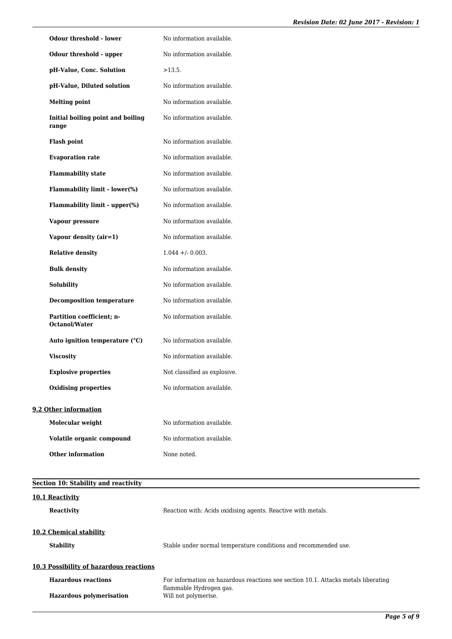|                           | <b>Odour threshold - lower</b>       | No information available.    |
|---------------------------|--------------------------------------|------------------------------|
|                           | Odour threshold - upper              | No information available.    |
|                           | pH-Value, Conc. Solution             | $>13.5$ .                    |
|                           | pH-Value, Diluted solution           | No information available.    |
| <b>Melting point</b>      |                                      | No information available.    |
| range                     | Initial boiling point and boiling    | No information available.    |
| <b>Flash point</b>        |                                      | No information available.    |
| <b>Evaporation rate</b>   |                                      | No information available.    |
| <b>Flammability state</b> |                                      | No information available.    |
|                           | <b>Flammability limit - lower(%)</b> | No information available.    |
|                           | Flammability limit - upper(%)        | No information available.    |
| Vapour pressure           |                                      | No information available.    |
|                           | Vapour density (air=1)               | No information available.    |
| <b>Relative density</b>   |                                      | $1.044 + (-0.003)$ .         |
| <b>Bulk density</b>       |                                      | No information available.    |
| <b>Solubility</b>         |                                      | No information available.    |
|                           | <b>Decomposition temperature</b>     | No information available.    |
| Octanol/Water             | Partition coefficient; n-            | No information available.    |
|                           | Auto ignition temperature (°C)       | No information available.    |
| <b>Viscosity</b>          |                                      | No information available.    |
|                           | <b>Explosive properties</b>          | Not classified as explosive. |
|                           | <b>Oxidising properties</b>          | No information available.    |
| 9.2 Other information     |                                      |                              |
| Molecular weight          |                                      | No information available.    |
|                           | Volatile organic compound            | No information available.    |
| <b>Other information</b>  |                                      | None noted.                  |

| Section 10: Stability and reactivity        |                                                                                    |  |
|---------------------------------------------|------------------------------------------------------------------------------------|--|
| 10.1 Reactivity                             |                                                                                    |  |
| <b>Reactivity</b>                           | Reaction with: Acids oxidising agents. Reactive with metals.                       |  |
| 10.2 Chemical stability<br><b>Stability</b> | Stable under normal temperature conditions and recommended use.                    |  |
| 10.3 Possibility of hazardous reactions     |                                                                                    |  |
| <b>Hazardous reactions</b>                  | For information on hazardous reactions see section 10.1. Attacks metals liberating |  |
| <b>Hazardous polymerisation</b>             | flammable Hydrogen gas.<br>Will not polymerise.                                    |  |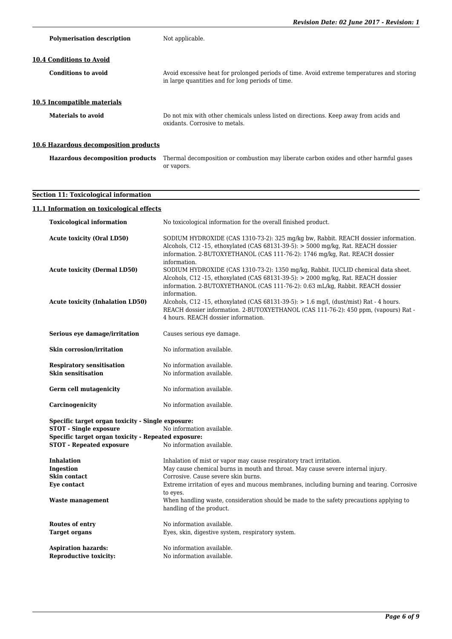|                                                                                        | Revision Date: 02 June 2017 - Revision: 1                                                                                                                                                                                                                                     |
|----------------------------------------------------------------------------------------|-------------------------------------------------------------------------------------------------------------------------------------------------------------------------------------------------------------------------------------------------------------------------------|
| <b>Polymerisation description</b>                                                      | Not applicable.                                                                                                                                                                                                                                                               |
| 10.4 Conditions to Avoid                                                               |                                                                                                                                                                                                                                                                               |
| <b>Conditions to avoid</b>                                                             | Avoid excessive heat for prolonged periods of time. Avoid extreme temperatures and storing<br>in large quantities and for long periods of time.                                                                                                                               |
| 10.5 Incompatible materials                                                            |                                                                                                                                                                                                                                                                               |
| <b>Materials to avoid</b>                                                              | Do not mix with other chemicals unless listed on directions. Keep away from acids and<br>oxidants. Corrosive to metals.                                                                                                                                                       |
| 10.6 Hazardous decomposition products                                                  |                                                                                                                                                                                                                                                                               |
|                                                                                        | Hazardous decomposition products Thermal decomposition or combustion may liberate carbon oxides and other harmful gases<br>or vapors.                                                                                                                                         |
| <b>Section 11: Toxicological information</b>                                           |                                                                                                                                                                                                                                                                               |
| 11.1 Information on toxicological effects                                              |                                                                                                                                                                                                                                                                               |
| <b>Toxicological information</b>                                                       | No toxicological information for the overall finished product.                                                                                                                                                                                                                |
| <b>Acute toxicity (Oral LD50)</b>                                                      | SODIUM HYDROXIDE (CAS 1310-73-2): 325 mg/kg bw, Rabbit. REACH dossier information.<br>Alcohols, C12 -15, ethoxylated (CAS $68131-39-5$ ): $> 5000$ mg/kg, Rat. REACH dossier<br>information. 2-BUTOXYETHANOL (CAS 111-76-2): 1746 mg/kg, Rat. REACH dossier                   |
| <b>Acute toxicity (Dermal LD50)</b>                                                    | information.<br>SODIUM HYDROXIDE (CAS 1310-73-2): 1350 mg/kg, Rabbit. IUCLID chemical data sheet.<br>Alcohols, C12 -15, ethoxylated (CAS $68131-39-5$ ): $> 2000$ mg/kg, Rat. REACH dossier<br>information. 2-BUTOXYETHANOL (CAS 111-76-2): 0.63 mL/kg, Rabbit. REACH dossier |
| <b>Acute toxicity (Inhalation LD50)</b>                                                | information.<br>Alcohols, C12 -15, ethoxylated (CAS $68131-39-5$ ): $> 1.6$ mg/l, (dust/mist) Rat - 4 hours.<br>REACH dossier information. 2-BUTOXYETHANOL (CAS 111-76-2): 450 ppm, (vapours) Rat -<br>4 hours. REACH dossier information.                                    |
| Serious eye damage/irritation                                                          | Causes serious eye damage.                                                                                                                                                                                                                                                    |
| <b>Skin corrosion/irritation</b>                                                       | No information available.                                                                                                                                                                                                                                                     |
| <b>Respiratory sensitisation</b><br><b>Skin sensitisation</b>                          | No information available.<br>No information available.                                                                                                                                                                                                                        |
| <b>Germ cell mutagenicity</b>                                                          | No information available.                                                                                                                                                                                                                                                     |
| Carcinogenicity                                                                        | No information available.                                                                                                                                                                                                                                                     |
| Specific target organ toxicity - Single exposure:<br><b>STOT - Single exposure</b>     | No information available.                                                                                                                                                                                                                                                     |
| Specific target organ toxicity - Repeated exposure:<br><b>STOT - Repeated exposure</b> | No information available.                                                                                                                                                                                                                                                     |
| <b>Inhalation</b>                                                                      | Inhalation of mist or vapor may cause respiratory tract irritation.                                                                                                                                                                                                           |
| Ingestion                                                                              | May cause chemical burns in mouth and throat. May cause severe internal injury.                                                                                                                                                                                               |
| Skin contact                                                                           | Corrosive. Cause severe skin burns.                                                                                                                                                                                                                                           |
| Eye contact                                                                            | Extreme irritation of eyes and mucous membranes, including burning and tearing. Corrosive<br>to eyes.                                                                                                                                                                         |
| Waste management                                                                       | When handling waste, consideration should be made to the safety precautions applying to<br>handling of the product.                                                                                                                                                           |

**Routes of entry** No information available. **Target organs** Eyes, skin, digestive system, respiratory system.

No information available.

**Aspiration hazards:** No information available.<br> **Reproductive toxicity:** No information available.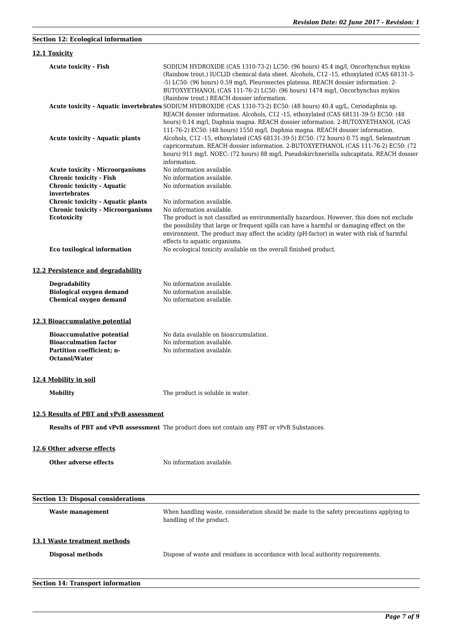| <b>Section 12: Ecological information</b>                                                                                      |                                                                                                                                                                                                                                                                                                                                                                                                                                    |
|--------------------------------------------------------------------------------------------------------------------------------|------------------------------------------------------------------------------------------------------------------------------------------------------------------------------------------------------------------------------------------------------------------------------------------------------------------------------------------------------------------------------------------------------------------------------------|
| 12.1 Toxicity                                                                                                                  |                                                                                                                                                                                                                                                                                                                                                                                                                                    |
| <b>Acute toxicity - Fish</b>                                                                                                   | SODIUM HYDROXIDE (CAS 1310-73-2) LC50: (96 hours) 45.4 mg/l, Oncorhynchus mykiss<br>(Rainbow trout.) IUCLID chemical data sheet. Alcohols, C12 -15, ethoxylated (CAS 68131-3-<br>-5) LC50: (96 hours) 0.59 mg/l, Pleuronectes platessa. REACH dossier information. 2-<br>BUTOXYETHANOL (CAS 111-76-2) LC50: (96 hours) 1474 mg/l, Oncorhynchus mykiss                                                                              |
|                                                                                                                                | (Rainbow trout.) REACH dossier information.<br>Acute toxicity - Aquatic invertebrates SODIUM HYDROXIDE (CAS 1310-73-2) EC50: (48 hours) 40.4 ug/L, Ceriodaphnia sp.<br>REACH dossier information. Alcohols, C12 -15, ethoxylated (CAS 68131-39-5) EC50: (48<br>hours) 0.14 mg/l, Daphnia magna. REACH dossier information. 2-BUTOXYETHANOL (CAS<br>111-76-2) EC50: (48 hours) 1550 mg/l, Daphnia magna. REACH dossier information. |
| <b>Acute toxicity - Aquatic plants</b>                                                                                         | Alcohols, C12 -15, ethoxylated (CAS 68131-39-5) EC50: (72 hours) 0.75 mg/l, Selenastrum<br>capricornutum. REACH dossier information. 2-BUTOXYETHANOL (CAS 111-76-2) EC50: (72<br>hours) 911 mg/l. NOEC: (72 hours) 88 mg/l, Pseudokirchneriella subcapitata. REACH dossier<br>information.                                                                                                                                         |
| <b>Acute toxicity - Microorganisms</b><br><b>Chronic toxicity - Fish</b><br><b>Chronic toxicity - Aquatic</b><br>invertebrates | No information available.<br>No information available.<br>No information available.                                                                                                                                                                                                                                                                                                                                                |
| <b>Chronic toxicity - Aquatic plants</b><br><b>Chronic toxicity - Microorganisms</b><br>Ecotoxicity                            | No information available.<br>No information available.<br>The product is not classified as environmentally hazardous. However, this does not exclude<br>the possibility that large or frequent spills can have a harmful or damaging effect on the<br>environment. The product may affect the acidity (pH-factor) in water with risk of harmful<br>effects to aquatic organisms.                                                   |
| Eco toxilogical information                                                                                                    | No ecological toxicity available on the overall finished product.                                                                                                                                                                                                                                                                                                                                                                  |
| 12.2 Persistence and degradability                                                                                             |                                                                                                                                                                                                                                                                                                                                                                                                                                    |
| <b>Degradability</b><br><b>Biological oxygen demand</b><br><b>Chemical oxygen demand</b>                                       | No information available.<br>No information available.<br>No information available.                                                                                                                                                                                                                                                                                                                                                |
| 12.3 Bioaccumulative potential                                                                                                 |                                                                                                                                                                                                                                                                                                                                                                                                                                    |
| <b>Bioaccumulative potential</b><br><b>Bioacculmation factor</b><br>Partition coefficient: n-<br>Octanol/Water                 | No data available on bioaccumulation.<br>No information available.<br>No information available.                                                                                                                                                                                                                                                                                                                                    |
| 12.4 Mobility in soil                                                                                                          |                                                                                                                                                                                                                                                                                                                                                                                                                                    |
| <b>Mobility</b>                                                                                                                | The product is soluble in water.                                                                                                                                                                                                                                                                                                                                                                                                   |
| 12.5 Results of PBT and vPvB assessment                                                                                        |                                                                                                                                                                                                                                                                                                                                                                                                                                    |
|                                                                                                                                | Results of PBT and vPvB assessment The product does not contain any PBT or vPvB Substances.                                                                                                                                                                                                                                                                                                                                        |
| 12.6 Other adverse effects                                                                                                     |                                                                                                                                                                                                                                                                                                                                                                                                                                    |
| <b>Other adverse effects</b>                                                                                                   | No information available.                                                                                                                                                                                                                                                                                                                                                                                                          |
| <b>Section 13: Disposal considerations</b>                                                                                     |                                                                                                                                                                                                                                                                                                                                                                                                                                    |
| <b>Waste management</b>                                                                                                        | When handling waste, consideration should be made to the safety precautions applying to<br>handling of the product.                                                                                                                                                                                                                                                                                                                |

# **13.1 Waste treatment methods**

**Disposal methods** Dispose of waste and residues in accordance with local authority requirements.

# **Section 14: Transport information**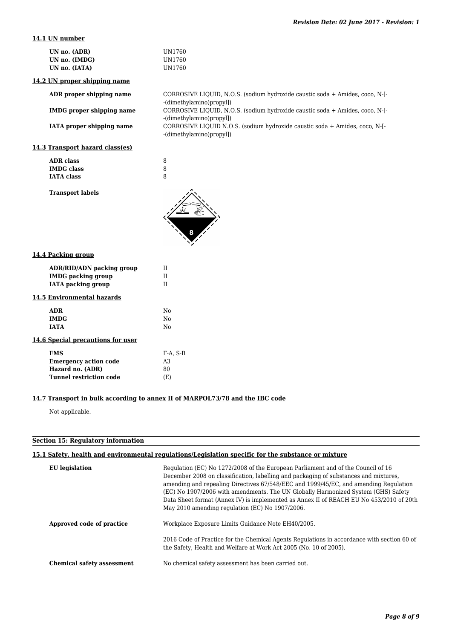# **14.1 UN number**

| UN1760 |
|--------|
| UN1760 |
| UN1760 |
|        |

**14.2 UN proper shipping name**

**ADR proper shipping name** CORROSIVE LIQUID, N.O.S. (sodium hydroxide caustic soda + Amides, coco, N-[-

**IMDG proper shipping name** CORROSIVE LIQUID, N.O.S. (sodium hydroxide caustic soda + Amides, coco, N-[-

**IATA proper shipping name** CORROSIVE LIQUID N.O.S. (sodium hydroxide caustic soda + Amides, coco, N-[-

# **14.3 Transport hazard class(es)**

| ADR class         |   |
|-------------------|---|
| <b>IMDG</b> class | 8 |
| <b>IATA class</b> | 8 |

**Transport labels**

| 8 |   |
|---|---|
|   |   |
|   | 8 |
|   |   |

-(dimethylamino)propyl])

-(dimethylamino)propyl])

-(dimethylamino)propyl])

| 14.4 Packing group |  |
|--------------------|--|
|                    |  |

| <b>ADR/RID/ADN packing group</b><br><b>IMDG</b> packing group<br>IATA packing group | TΤ<br>Н<br>Н           |
|-------------------------------------------------------------------------------------|------------------------|
| 14.5 Environmental hazards                                                          |                        |
| ADR                                                                                 | N٥                     |
| <b>IMDG</b>                                                                         | Nο                     |
| <b>TATA</b>                                                                         | $\mathbf{N}\mathbf{O}$ |
| 14.6 Special precautions for user                                                   |                        |
| <b>EMS</b>                                                                          | F-A. S-B               |
| <b>Emergency action code</b>                                                        | A3                     |
| Hazard no. (ADR)                                                                    | 80                     |
| Tunnel restriction code                                                             | (E)                    |
|                                                                                     |                        |

#### **14.7 Transport in bulk according to annex II of MARPOL73/78 and the IBC code**

Not applicable.

#### **Section 15: Regulatory information**

# **15.1 Safety, health and environmental regulations/Legislation specific for the substance or mixture**

| EU legislation                    | Regulation (EC) No 1272/2008 of the European Parliament and of the Council of 16<br>December 2008 on classification, labelling and packaging of substances and mixtures,<br>amending and repealing Directives 67/548/EEC and 1999/45/EC, and amending Regulation<br>(EC) No 1907/2006 with amendments. The UN Globally Harmonized System (GHS) Safety<br>Data Sheet format (Annex IV) is implemented as Annex II of REACH EU No 453/2010 of 20th<br>May 2010 amending regulation (EC) No 1907/2006. |
|-----------------------------------|-----------------------------------------------------------------------------------------------------------------------------------------------------------------------------------------------------------------------------------------------------------------------------------------------------------------------------------------------------------------------------------------------------------------------------------------------------------------------------------------------------|
| Approved code of practice         | Workplace Exposure Limits Guidance Note EH40/2005.                                                                                                                                                                                                                                                                                                                                                                                                                                                  |
|                                   | 2016 Code of Practice for the Chemical Agents Regulations in accordance with section 60 of<br>the Safety, Health and Welfare at Work Act 2005 (No. 10 of 2005).                                                                                                                                                                                                                                                                                                                                     |
| <b>Chemical safety assessment</b> | No chemical safety assessment has been carried out.                                                                                                                                                                                                                                                                                                                                                                                                                                                 |